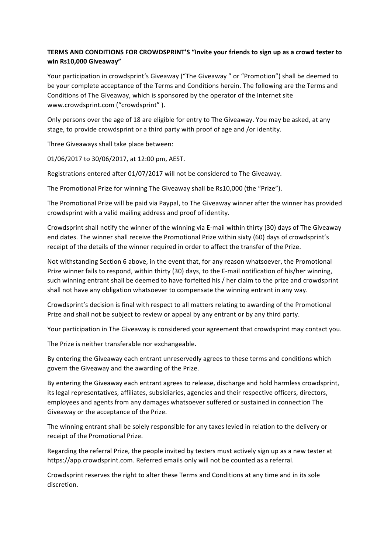## **TERMS AND CONDITIONS FOR CROWDSPRINT'S "Invite your friends to sign up as a crowd tester to win Rs10,000 Giveaway"**

Your participation in crowdsprint's Giveaway ("The Giveaway" or "Promotion") shall be deemed to be your complete acceptance of the Terms and Conditions herein. The following are the Terms and Conditions of The Giveaway, which is sponsored by the operator of the Internet site www.crowdsprint.com ("crowdsprint").

Only persons over the age of 18 are eligible for entry to The Giveaway. You may be asked, at any stage, to provide crowdsprint or a third party with proof of age and /or identity.

Three Giveaways shall take place between:

01/06/2017 to 30/06/2017, at 12:00 pm, AEST.

Registrations entered after 01/07/2017 will not be considered to The Giveaway.

The Promotional Prize for winning The Giveaway shall be Rs10,000 (the "Prize").

The Promotional Prize will be paid via Paypal, to The Giveaway winner after the winner has provided crowdsprint with a valid mailing address and proof of identity.

Crowdsprint shall notify the winner of the winning via E-mail within thirty (30) days of The Giveaway end dates. The winner shall receive the Promotional Prize within sixty (60) days of crowdsprint's receipt of the details of the winner required in order to affect the transfer of the Prize.

Not withstanding Section 6 above, in the event that, for any reason whatsoever, the Promotional Prize winner fails to respond, within thirty (30) days, to the E-mail notification of his/her winning, such winning entrant shall be deemed to have forfeited his / her claim to the prize and crowdsprint shall not have any obligation whatsoever to compensate the winning entrant in any way.

Crowdsprint's decision is final with respect to all matters relating to awarding of the Promotional Prize and shall not be subject to review or appeal by any entrant or by any third party.

Your participation in The Giveaway is considered your agreement that crowdsprint may contact you.

The Prize is neither transferable nor exchangeable.

By entering the Giveaway each entrant unreservedly agrees to these terms and conditions which govern the Giveaway and the awarding of the Prize.

By entering the Giveaway each entrant agrees to release, discharge and hold harmless crowdsprint, its legal representatives, affiliates, subsidiaries, agencies and their respective officers, directors, employees and agents from any damages whatsoever suffered or sustained in connection The Giveaway or the acceptance of the Prize.

The winning entrant shall be solely responsible for any taxes levied in relation to the delivery or receipt of the Promotional Prize.

Regarding the referral Prize, the people invited by testers must actively sign up as a new tester at https://app.crowdsprint.com. Referred emails only will not be counted as a referral.

Crowdsprint reserves the right to alter these Terms and Conditions at any time and in its sole discretion.